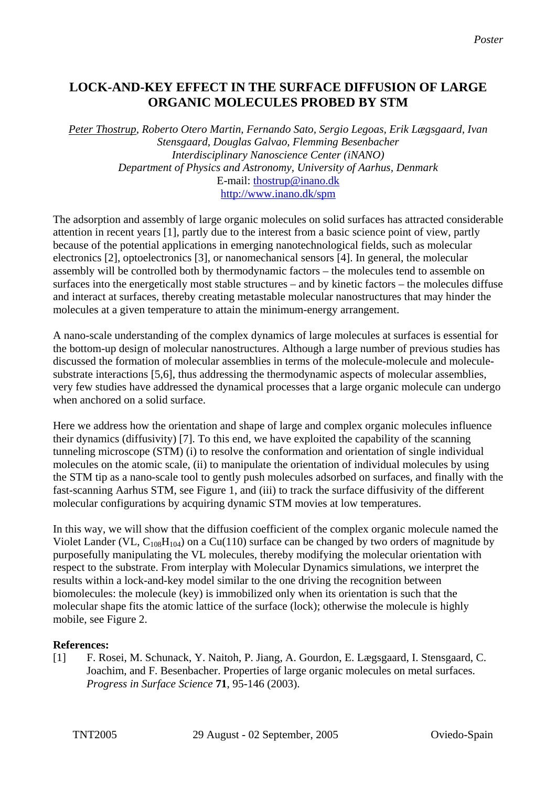# **LOCK-AND-KEY EFFECT IN THE SURFACE DIFFUSION OF LARGE ORGANIC MOLECULES PROBED BY STM**

*Peter Thostrup, Roberto Otero Martin, Fernando Sato, Sergio Legoas, Erik Lægsgaard, Ivan Stensgaard, Douglas Galvao, Flemming Besenbacher Interdisciplinary Nanoscience Center (iNANO) Department of Physics and Astronomy, University of Aarhus, Denmark*  E-mail: [thostrup@inano.dk](mailto:thostrup@inano.dk) http://www.inano.dk/spm

The adsorption and assembly of large organic molecules on solid surfaces has attracted considerable attention in recent years [1], partly due to the interest from a basic science point of view, partly because of the potential applications in emerging nanotechnological fields, such as molecular electronics [2], optoelectronics [3], or nanomechanical sensors [4]. In general, the molecular assembly will be controlled both by thermodynamic factors – the molecules tend to assemble on surfaces into the energetically most stable structures – and by kinetic factors – the molecules diffuse and interact at surfaces, thereby creating metastable molecular nanostructures that may hinder the molecules at a given temperature to attain the minimum-energy arrangement.

A nano-scale understanding of the complex dynamics of large molecules at surfaces is essential for the bottom-up design of molecular nanostructures. Although a large number of previous studies has discussed the formation of molecular assemblies in terms of the molecule-molecule and moleculesubstrate interactions [5,6], thus addressing the thermodynamic aspects of molecular assemblies, very few studies have addressed the dynamical processes that a large organic molecule can undergo when anchored on a solid surface.

Here we address how the orientation and shape of large and complex organic molecules influence their dynamics (diffusivity) [7]. To this end, we have exploited the capability of the scanning tunneling microscope (STM) (i) to resolve the conformation and orientation of single individual molecules on the atomic scale, (ii) to manipulate the orientation of individual molecules by using the STM tip as a nano-scale tool to gently push molecules adsorbed on surfaces, and finally with the fast-scanning Aarhus STM, see Figure 1, and (iii) to track the surface diffusivity of the different molecular configurations by acquiring dynamic STM movies at low temperatures.

In this way, we will show that the diffusion coefficient of the complex organic molecule named the Violet Lander (VL,  $C_{108}H_{104}$ ) on a Cu(110) surface can be changed by two orders of magnitude by purposefully manipulating the VL molecules, thereby modifying the molecular orientation with respect to the substrate. From interplay with Molecular Dynamics simulations, we interpret the results within a lock-and-key model similar to the one driving the recognition between biomolecules: the molecule (key) is immobilized only when its orientation is such that the molecular shape fits the atomic lattice of the surface (lock); otherwise the molecule is highly mobile, see Figure 2.

# **References:**

[1] F. Rosei, M. Schunack, Y. Naitoh, P. Jiang, A. Gourdon, E. Lægsgaard, I. Stensgaard, C. Joachim, and F. Besenbacher. Properties of large organic molecules on metal surfaces. *Progress in Surface Science* **71**, 95-146 (2003).